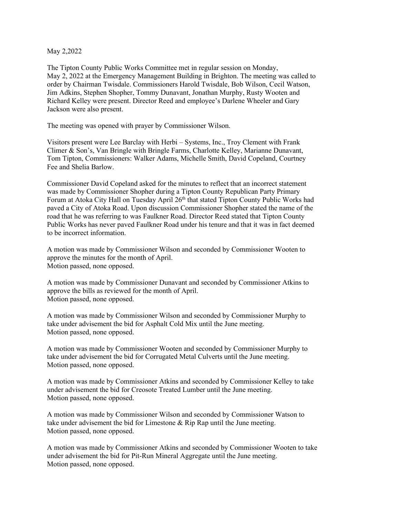May 2,2022

The Tipton County Public Works Committee met in regular session on Monday, May 2, 2022 at the Emergency Management Building in Brighton. The meeting was called to order by Chairman Twisdale. Commissioners Harold Twisdale, Bob Wilson, Cecil Watson, Jim Adkins, Stephen Shopher, Tommy Dunavant, Jonathan Murphy, Rusty Wooten and Richard Kelley were present. Director Reed and employee's Darlene Wheeler and Gary Jackson were also present.

The meeting was opened with prayer by Commissioner Wilson.

Visitors present were Lee Barclay with Herbi – Systems, Inc., Troy Clement with Frank Climer & Son's, Van Bringle with Bringle Farms, Charlotte Kelley, Marianne Dunavant, Tom Tipton, Commissioners: Walker Adams, Michelle Smith, David Copeland, Courtney Fee and Shelia Barlow.

Commissioner David Copeland asked for the minutes to reflect that an incorrect statement was made by Commissioner Shopher during a Tipton County Republican Party Primary Forum at Atoka City Hall on Tuesday April 26<sup>th</sup> that stated Tipton County Public Works had paved a City of Atoka Road. Upon discussion Commissioner Shopher stated the name of the road that he was referring to was Faulkner Road. Director Reed stated that Tipton County Public Works has never paved Faulkner Road under his tenure and that it was in fact deemed to be incorrect information.

A motion was made by Commissioner Wilson and seconded by Commissioner Wooten to approve the minutes for the month of April. Motion passed, none opposed.

A motion was made by Commissioner Dunavant and seconded by Commissioner Atkins to approve the bills as reviewed for the month of April. Motion passed, none opposed.

A motion was made by Commissioner Wilson and seconded by Commissioner Murphy to take under advisement the bid for Asphalt Cold Mix until the June meeting. Motion passed, none opposed.

A motion was made by Commissioner Wooten and seconded by Commissioner Murphy to take under advisement the bid for Corrugated Metal Culverts until the June meeting. Motion passed, none opposed.

A motion was made by Commissioner Atkins and seconded by Commissioner Kelley to take under advisement the bid for Creosote Treated Lumber until the June meeting. Motion passed, none opposed.

A motion was made by Commissioner Wilson and seconded by Commissioner Watson to take under advisement the bid for Limestone & Rip Rap until the June meeting. Motion passed, none opposed.

A motion was made by Commissioner Atkins and seconded by Commissioner Wooten to take under advisement the bid for Pit-Run Mineral Aggregate until the June meeting. Motion passed, none opposed.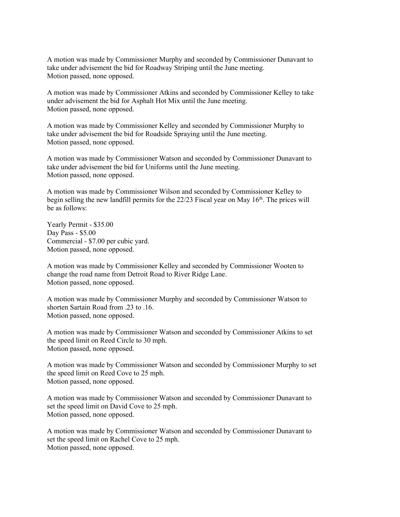A motion was made by Commissioner Murphy and seconded by Commissioner Dunavant to take under advisement the bid for Roadway Striping until the June meeting. Motion passed, none opposed.

A motion was made by Commissioner Atkins and seconded by Commissioner Kelley to take under advisement the bid for Asphalt Hot Mix until the June meeting. Motion passed, none opposed.

A motion was made by Commissioner Kelley and seconded by Commissioner Murphy to take under advisement the bid for Roadside Spraying until the June meeting. Motion passed, none opposed.

A motion was made by Commissioner Watson and seconded by Commissioner Dunavant to take under advisement the bid for Uniforms until the June meeting. Motion passed, none opposed.

A motion was made by Commissioner Wilson and seconded by Commissioner Kelley to begin selling the new landfill permits for the  $22/23$  Fiscal year on May 16<sup>th</sup>. The prices will be as follows:

Yearly Permit - \$35.00 Day Pass - \$5.00 Commercial - \$7.00 per cubic yard. Motion passed, none opposed.

A motion was made by Commissioner Kelley and seconded by Commissioner Wooten to change the road name from Detroit Road to River Ridge Lane. Motion passed, none opposed.

A motion was made by Commissioner Murphy and seconded by Commissioner Watson to shorten Sartain Road from .23 to .16. Motion passed, none opposed.

A motion was made by Commissioner Watson and seconded by Commissioner Atkins to set the speed limit on Reed Circle to 30 mph. Motion passed, none opposed.

A motion was made by Commissioner Watson and seconded by Commissioner Murphy to set the speed limit on Reed Cove to 25 mph. Motion passed, none opposed.

A motion was made by Commissioner Watson and seconded by Commissioner Dunavant to set the speed limit on David Cove to 25 mph. Motion passed, none opposed.

A motion was made by Commissioner Watson and seconded by Commissioner Dunavant to set the speed limit on Rachel Cove to 25 mph. Motion passed, none opposed.